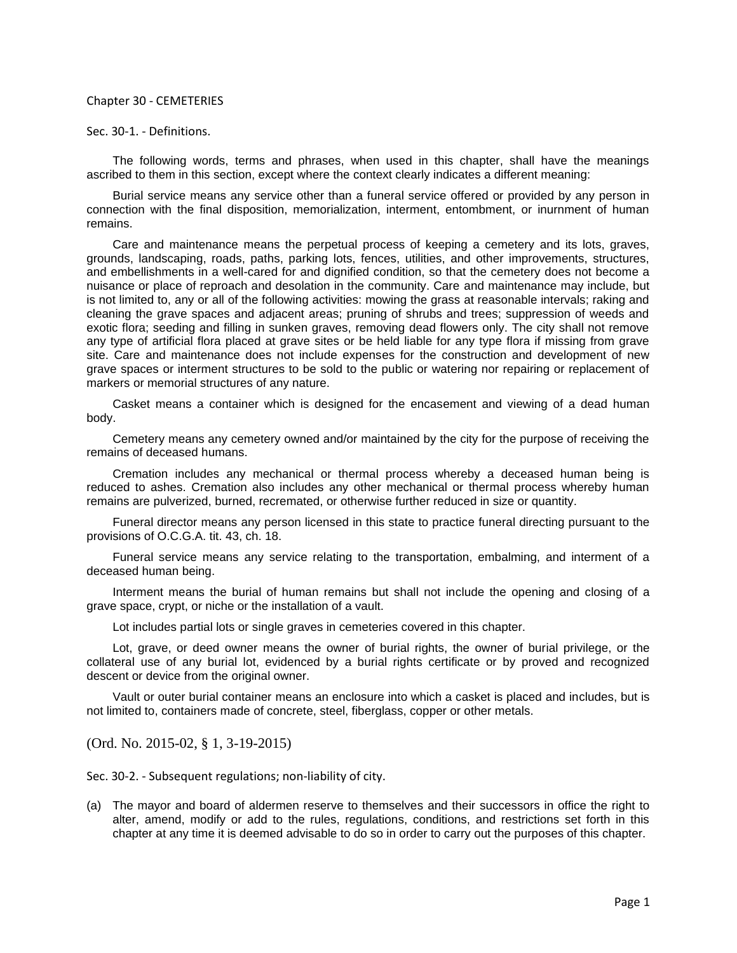## Chapter 30 - CEMETERIES

## Sec. 30-1. - Definitions.

The following words, terms and phrases, when used in this chapter, shall have the meanings ascribed to them in this section, except where the context clearly indicates a different meaning:

Burial service means any service other than a funeral service offered or provided by any person in connection with the final disposition, memorialization, interment, entombment, or inurnment of human remains.

Care and maintenance means the perpetual process of keeping a cemetery and its lots, graves, grounds, landscaping, roads, paths, parking lots, fences, utilities, and other improvements, structures, and embellishments in a well-cared for and dignified condition, so that the cemetery does not become a nuisance or place of reproach and desolation in the community. Care and maintenance may include, but is not limited to, any or all of the following activities: mowing the grass at reasonable intervals; raking and cleaning the grave spaces and adjacent areas; pruning of shrubs and trees; suppression of weeds and exotic flora; seeding and filling in sunken graves, removing dead flowers only. The city shall not remove any type of artificial flora placed at grave sites or be held liable for any type flora if missing from grave site. Care and maintenance does not include expenses for the construction and development of new grave spaces or interment structures to be sold to the public or watering nor repairing or replacement of markers or memorial structures of any nature.

Casket means a container which is designed for the encasement and viewing of a dead human body.

Cemetery means any cemetery owned and/or maintained by the city for the purpose of receiving the remains of deceased humans.

Cremation includes any mechanical or thermal process whereby a deceased human being is reduced to ashes. Cremation also includes any other mechanical or thermal process whereby human remains are pulverized, burned, recremated, or otherwise further reduced in size or quantity.

Funeral director means any person licensed in this state to practice funeral directing pursuant to the provisions of O.C.G.A. tit. 43, ch. 18.

Funeral service means any service relating to the transportation, embalming, and interment of a deceased human being.

Interment means the burial of human remains but shall not include the opening and closing of a grave space, crypt, or niche or the installation of a vault.

Lot includes partial lots or single graves in cemeteries covered in this chapter.

Lot, grave, or deed owner means the owner of burial rights, the owner of burial privilege, or the collateral use of any burial lot, evidenced by a burial rights certificate or by proved and recognized descent or device from the original owner.

Vault or outer burial container means an enclosure into which a casket is placed and includes, but is not limited to, containers made of concrete, steel, fiberglass, copper or other metals.

(Ord. No. 2015-02, § 1, 3-19-2015)

Sec. 30-2. - Subsequent regulations; non-liability of city.

(a) The mayor and board of aldermen reserve to themselves and their successors in office the right to alter, amend, modify or add to the rules, regulations, conditions, and restrictions set forth in this chapter at any time it is deemed advisable to do so in order to carry out the purposes of this chapter.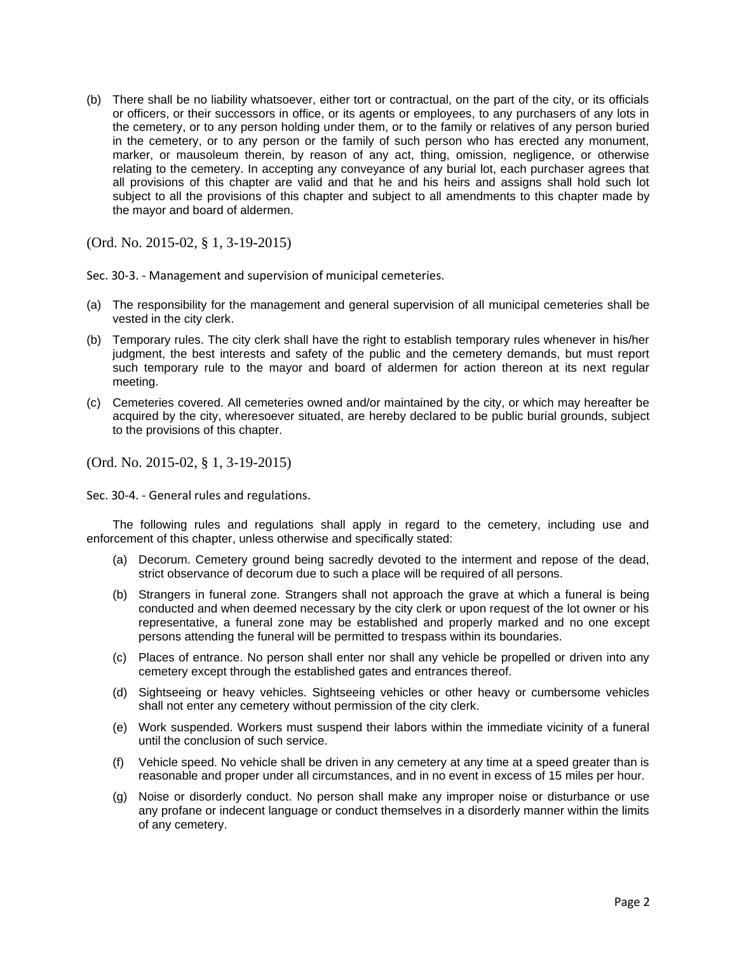(b) There shall be no liability whatsoever, either tort or contractual, on the part of the city, or its officials or officers, or their successors in office, or its agents or employees, to any purchasers of any lots in the cemetery, or to any person holding under them, or to the family or relatives of any person buried in the cemetery, or to any person or the family of such person who has erected any monument, marker, or mausoleum therein, by reason of any act, thing, omission, negligence, or otherwise relating to the cemetery. In accepting any conveyance of any burial lot, each purchaser agrees that all provisions of this chapter are valid and that he and his heirs and assigns shall hold such lot subject to all the provisions of this chapter and subject to all amendments to this chapter made by the mayor and board of aldermen.

(Ord. No. 2015-02, § 1, 3-19-2015)

Sec. 30-3. - Management and supervision of municipal cemeteries.

- (a) The responsibility for the management and general supervision of all municipal cemeteries shall be vested in the city clerk.
- (b) Temporary rules. The city clerk shall have the right to establish temporary rules whenever in his/her judgment, the best interests and safety of the public and the cemetery demands, but must report such temporary rule to the mayor and board of aldermen for action thereon at its next regular meeting.
- (c) Cemeteries covered. All cemeteries owned and/or maintained by the city, or which may hereafter be acquired by the city, wheresoever situated, are hereby declared to be public burial grounds, subject to the provisions of this chapter.

(Ord. No. 2015-02, § 1, 3-19-2015)

Sec. 30-4. - General rules and regulations.

The following rules and regulations shall apply in regard to the cemetery, including use and enforcement of this chapter, unless otherwise and specifically stated:

- (a) Decorum. Cemetery ground being sacredly devoted to the interment and repose of the dead, strict observance of decorum due to such a place will be required of all persons.
- (b) Strangers in funeral zone. Strangers shall not approach the grave at which a funeral is being conducted and when deemed necessary by the city clerk or upon request of the lot owner or his representative, a funeral zone may be established and properly marked and no one except persons attending the funeral will be permitted to trespass within its boundaries.
- (c) Places of entrance. No person shall enter nor shall any vehicle be propelled or driven into any cemetery except through the established gates and entrances thereof.
- (d) Sightseeing or heavy vehicles. Sightseeing vehicles or other heavy or cumbersome vehicles shall not enter any cemetery without permission of the city clerk.
- (e) Work suspended. Workers must suspend their labors within the immediate vicinity of a funeral until the conclusion of such service.
- (f) Vehicle speed. No vehicle shall be driven in any cemetery at any time at a speed greater than is reasonable and proper under all circumstances, and in no event in excess of 15 miles per hour.
- (g) Noise or disorderly conduct. No person shall make any improper noise or disturbance or use any profane or indecent language or conduct themselves in a disorderly manner within the limits of any cemetery.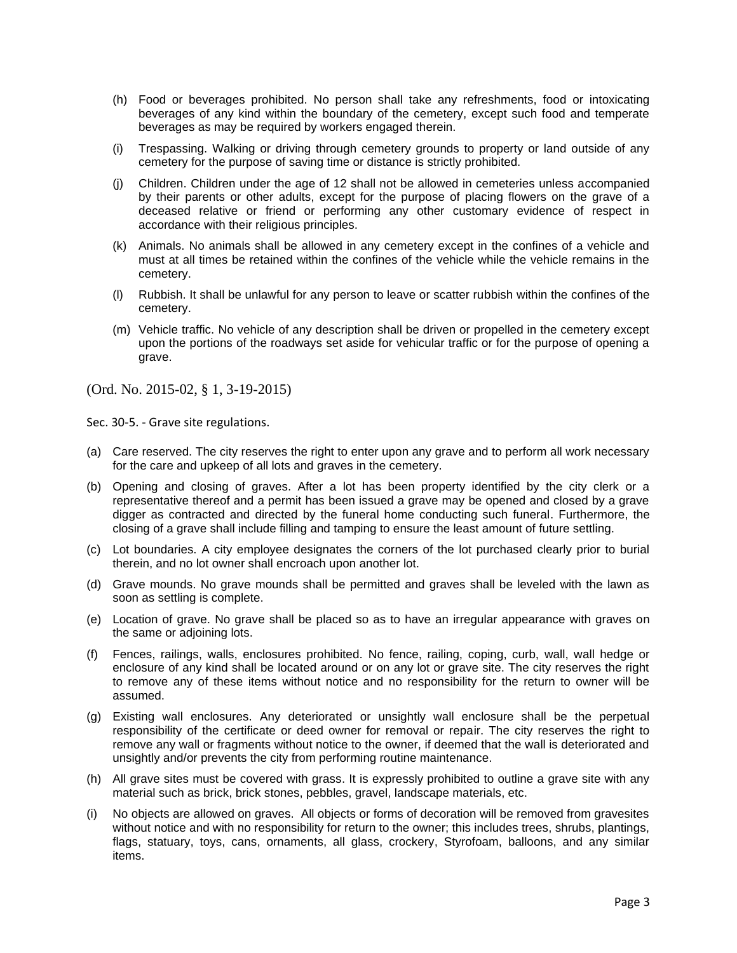- (h) Food or beverages prohibited. No person shall take any refreshments, food or intoxicating beverages of any kind within the boundary of the cemetery, except such food and temperate beverages as may be required by workers engaged therein.
- (i) Trespassing. Walking or driving through cemetery grounds to property or land outside of any cemetery for the purpose of saving time or distance is strictly prohibited.
- (j) Children. Children under the age of 12 shall not be allowed in cemeteries unless accompanied by their parents or other adults, except for the purpose of placing flowers on the grave of a deceased relative or friend or performing any other customary evidence of respect in accordance with their religious principles.
- (k) Animals. No animals shall be allowed in any cemetery except in the confines of a vehicle and must at all times be retained within the confines of the vehicle while the vehicle remains in the cemetery.
- (l) Rubbish. It shall be unlawful for any person to leave or scatter rubbish within the confines of the cemetery.
- (m) Vehicle traffic. No vehicle of any description shall be driven or propelled in the cemetery except upon the portions of the roadways set aside for vehicular traffic or for the purpose of opening a grave.

Sec. 30-5. - Grave site regulations.

- (a) Care reserved. The city reserves the right to enter upon any grave and to perform all work necessary for the care and upkeep of all lots and graves in the cemetery.
- (b) Opening and closing of graves. After a lot has been property identified by the city clerk or a representative thereof and a permit has been issued a grave may be opened and closed by a grave digger as contracted and directed by the funeral home conducting such funeral. Furthermore, the closing of a grave shall include filling and tamping to ensure the least amount of future settling.
- (c) Lot boundaries. A city employee designates the corners of the lot purchased clearly prior to burial therein, and no lot owner shall encroach upon another lot.
- (d) Grave mounds. No grave mounds shall be permitted and graves shall be leveled with the lawn as soon as settling is complete.
- (e) Location of grave. No grave shall be placed so as to have an irregular appearance with graves on the same or adjoining lots.
- (f) Fences, railings, walls, enclosures prohibited. No fence, railing, coping, curb, wall, wall hedge or enclosure of any kind shall be located around or on any lot or grave site. The city reserves the right to remove any of these items without notice and no responsibility for the return to owner will be assumed.
- (g) Existing wall enclosures. Any deteriorated or unsightly wall enclosure shall be the perpetual responsibility of the certificate or deed owner for removal or repair. The city reserves the right to remove any wall or fragments without notice to the owner, if deemed that the wall is deteriorated and unsightly and/or prevents the city from performing routine maintenance.
- (h) All grave sites must be covered with grass. It is expressly prohibited to outline a grave site with any material such as brick, brick stones, pebbles, gravel, landscape materials, etc.
- (i) No objects are allowed on graves. All objects or forms of decoration will be removed from gravesites without notice and with no responsibility for return to the owner; this includes trees, shrubs, plantings, flags, statuary, toys, cans, ornaments, all glass, crockery, Styrofoam, balloons, and any similar items.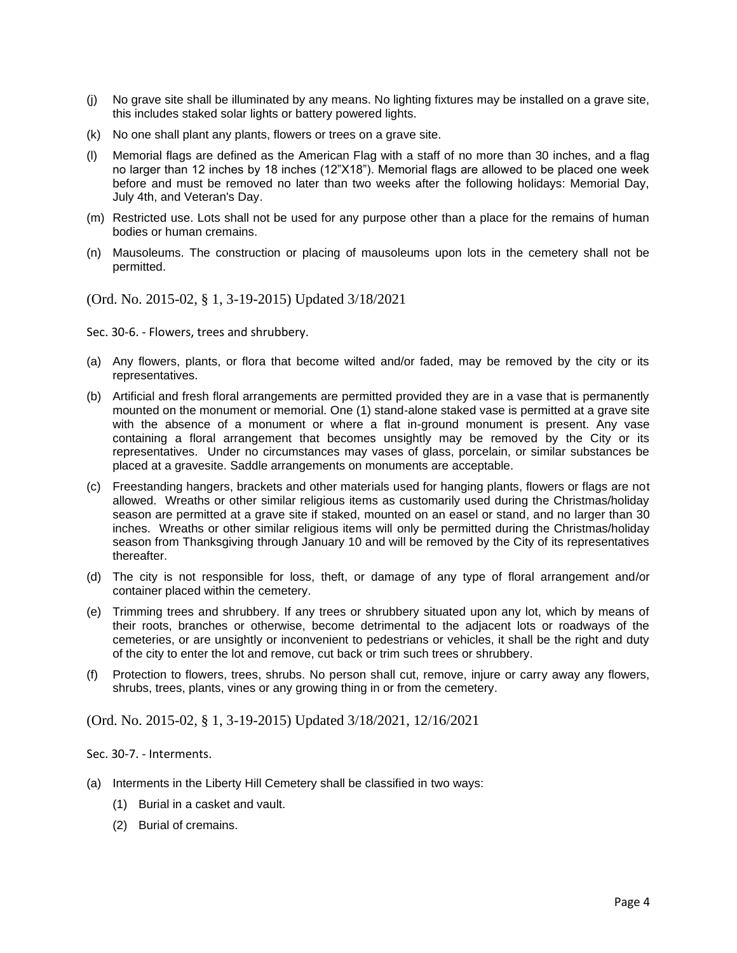- (j) No grave site shall be illuminated by any means. No lighting fixtures may be installed on a grave site, this includes staked solar lights or battery powered lights.
- (k) No one shall plant any plants, flowers or trees on a grave site.
- (l) Memorial flags are defined as the American Flag with a staff of no more than 30 inches, and a flag no larger than 12 inches by 18 inches (12"X18"). Memorial flags are allowed to be placed one week before and must be removed no later than two weeks after the following holidays: Memorial Day, July 4th, and Veteran's Day.
- (m) Restricted use. Lots shall not be used for any purpose other than a place for the remains of human bodies or human cremains.
- (n) Mausoleums. The construction or placing of mausoleums upon lots in the cemetery shall not be permitted.

(Ord. No. 2015-02, § 1, 3-19-2015) Updated 3/18/2021

Sec. 30-6. - Flowers, trees and shrubbery.

- (a) Any flowers, plants, or flora that become wilted and/or faded, may be removed by the city or its representatives.
- (b) Artificial and fresh floral arrangements are permitted provided they are in a vase that is permanently mounted on the monument or memorial. One (1) stand-alone staked vase is permitted at a grave site with the absence of a monument or where a flat in-ground monument is present. Any vase containing a floral arrangement that becomes unsightly may be removed by the City or its representatives. Under no circumstances may vases of glass, porcelain, or similar substances be placed at a gravesite. Saddle arrangements on monuments are acceptable.
- (c) Freestanding hangers, brackets and other materials used for hanging plants, flowers or flags are not allowed. Wreaths or other similar religious items as customarily used during the Christmas/holiday season are permitted at a grave site if staked, mounted on an easel or stand, and no larger than 30 inches. Wreaths or other similar religious items will only be permitted during the Christmas/holiday season from Thanksgiving through January 10 and will be removed by the City of its representatives thereafter.
- (d) The city is not responsible for loss, theft, or damage of any type of floral arrangement and/or container placed within the cemetery.
- (e) Trimming trees and shrubbery. If any trees or shrubbery situated upon any lot, which by means of their roots, branches or otherwise, become detrimental to the adjacent lots or roadways of the cemeteries, or are unsightly or inconvenient to pedestrians or vehicles, it shall be the right and duty of the city to enter the lot and remove, cut back or trim such trees or shrubbery.
- (f) Protection to flowers, trees, shrubs. No person shall cut, remove, injure or carry away any flowers, shrubs, trees, plants, vines or any growing thing in or from the cemetery.

(Ord. No. 2015-02, § 1, 3-19-2015) Updated 3/18/2021, 12/16/2021

Sec. 30-7. - Interments.

- (a) Interments in the Liberty Hill Cemetery shall be classified in two ways:
	- (1) Burial in a casket and vault.
	- (2) Burial of cremains.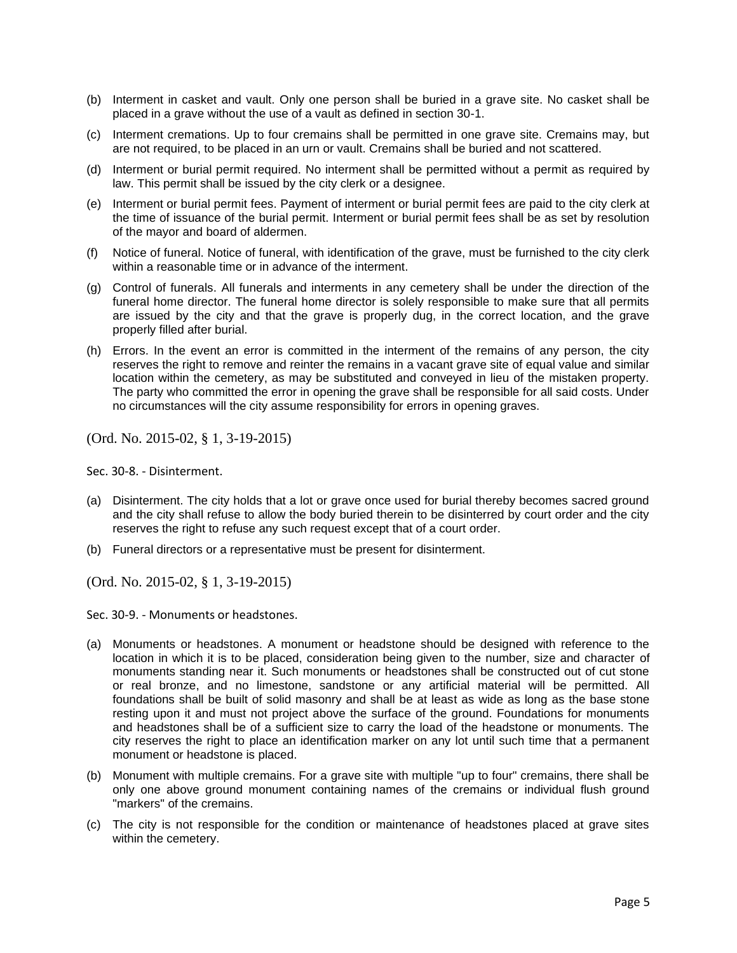- (b) Interment in casket and vault. Only one person shall be buried in a grave site. No casket shall be placed in a grave without the use of a vault as defined in section 30-1.
- (c) Interment cremations. Up to four cremains shall be permitted in one grave site. Cremains may, but are not required, to be placed in an urn or vault. Cremains shall be buried and not scattered.
- (d) Interment or burial permit required. No interment shall be permitted without a permit as required by law. This permit shall be issued by the city clerk or a designee.
- (e) Interment or burial permit fees. Payment of interment or burial permit fees are paid to the city clerk at the time of issuance of the burial permit. Interment or burial permit fees shall be as set by resolution of the mayor and board of aldermen.
- (f) Notice of funeral. Notice of funeral, with identification of the grave, must be furnished to the city clerk within a reasonable time or in advance of the interment.
- (g) Control of funerals. All funerals and interments in any cemetery shall be under the direction of the funeral home director. The funeral home director is solely responsible to make sure that all permits are issued by the city and that the grave is properly dug, in the correct location, and the grave properly filled after burial.
- (h) Errors. In the event an error is committed in the interment of the remains of any person, the city reserves the right to remove and reinter the remains in a vacant grave site of equal value and similar location within the cemetery, as may be substituted and conveyed in lieu of the mistaken property. The party who committed the error in opening the grave shall be responsible for all said costs. Under no circumstances will the city assume responsibility for errors in opening graves.

Sec. 30-8. - Disinterment.

- (a) Disinterment. The city holds that a lot or grave once used for burial thereby becomes sacred ground and the city shall refuse to allow the body buried therein to be disinterred by court order and the city reserves the right to refuse any such request except that of a court order.
- (b) Funeral directors or a representative must be present for disinterment.

(Ord. No. 2015-02, § 1, 3-19-2015)

Sec. 30-9. - Monuments or headstones.

- (a) Monuments or headstones. A monument or headstone should be designed with reference to the location in which it is to be placed, consideration being given to the number, size and character of monuments standing near it. Such monuments or headstones shall be constructed out of cut stone or real bronze, and no limestone, sandstone or any artificial material will be permitted. All foundations shall be built of solid masonry and shall be at least as wide as long as the base stone resting upon it and must not project above the surface of the ground. Foundations for monuments and headstones shall be of a sufficient size to carry the load of the headstone or monuments. The city reserves the right to place an identification marker on any lot until such time that a permanent monument or headstone is placed.
- (b) Monument with multiple cremains. For a grave site with multiple "up to four" cremains, there shall be only one above ground monument containing names of the cremains or individual flush ground "markers" of the cremains.
- (c) The city is not responsible for the condition or maintenance of headstones placed at grave sites within the cemetery.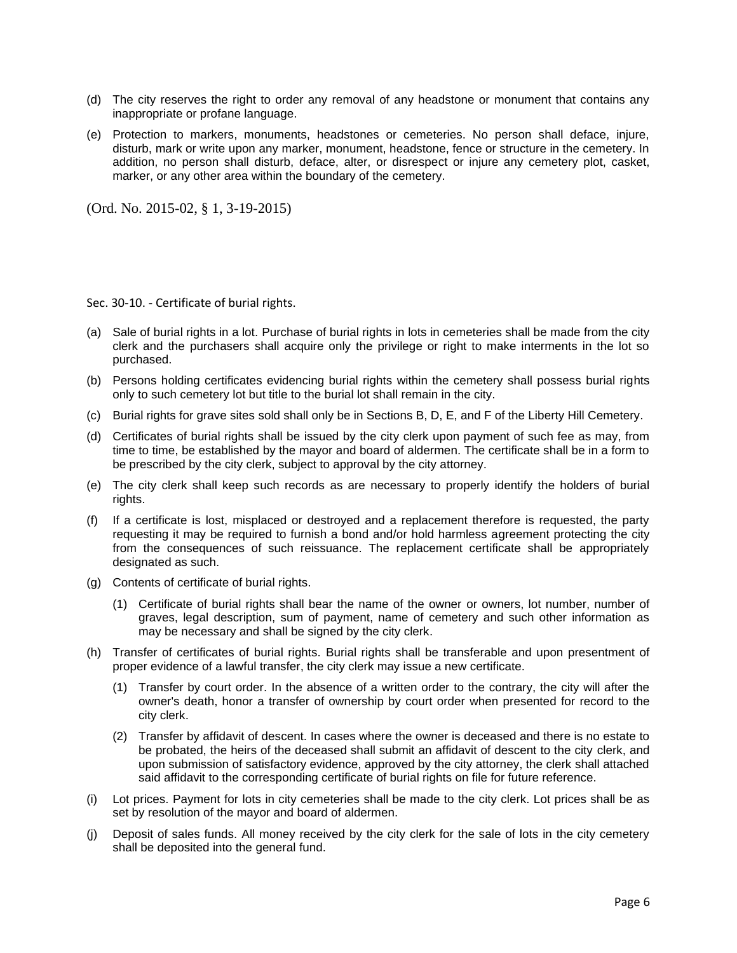- (d) The city reserves the right to order any removal of any headstone or monument that contains any inappropriate or profane language.
- (e) Protection to markers, monuments, headstones or cemeteries. No person shall deface, injure, disturb, mark or write upon any marker, monument, headstone, fence or structure in the cemetery. In addition, no person shall disturb, deface, alter, or disrespect or injure any cemetery plot, casket, marker, or any other area within the boundary of the cemetery.

Sec. 30-10. - Certificate of burial rights.

- (a) Sale of burial rights in a lot. Purchase of burial rights in lots in cemeteries shall be made from the city clerk and the purchasers shall acquire only the privilege or right to make interments in the lot so purchased.
- (b) Persons holding certificates evidencing burial rights within the cemetery shall possess burial rights only to such cemetery lot but title to the burial lot shall remain in the city.
- (c) Burial rights for grave sites sold shall only be in Sections B, D, E, and F of the Liberty Hill Cemetery.
- (d) Certificates of burial rights shall be issued by the city clerk upon payment of such fee as may, from time to time, be established by the mayor and board of aldermen. The certificate shall be in a form to be prescribed by the city clerk, subject to approval by the city attorney.
- (e) The city clerk shall keep such records as are necessary to properly identify the holders of burial rights.
- (f) If a certificate is lost, misplaced or destroyed and a replacement therefore is requested, the party requesting it may be required to furnish a bond and/or hold harmless agreement protecting the city from the consequences of such reissuance. The replacement certificate shall be appropriately designated as such.
- (g) Contents of certificate of burial rights.
	- (1) Certificate of burial rights shall bear the name of the owner or owners, lot number, number of graves, legal description, sum of payment, name of cemetery and such other information as may be necessary and shall be signed by the city clerk.
- (h) Transfer of certificates of burial rights. Burial rights shall be transferable and upon presentment of proper evidence of a lawful transfer, the city clerk may issue a new certificate.
	- (1) Transfer by court order. In the absence of a written order to the contrary, the city will after the owner's death, honor a transfer of ownership by court order when presented for record to the city clerk.
	- (2) Transfer by affidavit of descent. In cases where the owner is deceased and there is no estate to be probated, the heirs of the deceased shall submit an affidavit of descent to the city clerk, and upon submission of satisfactory evidence, approved by the city attorney, the clerk shall attached said affidavit to the corresponding certificate of burial rights on file for future reference.
- (i) Lot prices. Payment for lots in city cemeteries shall be made to the city clerk. Lot prices shall be as set by resolution of the mayor and board of aldermen.
- (j) Deposit of sales funds. All money received by the city clerk for the sale of lots in the city cemetery shall be deposited into the general fund.